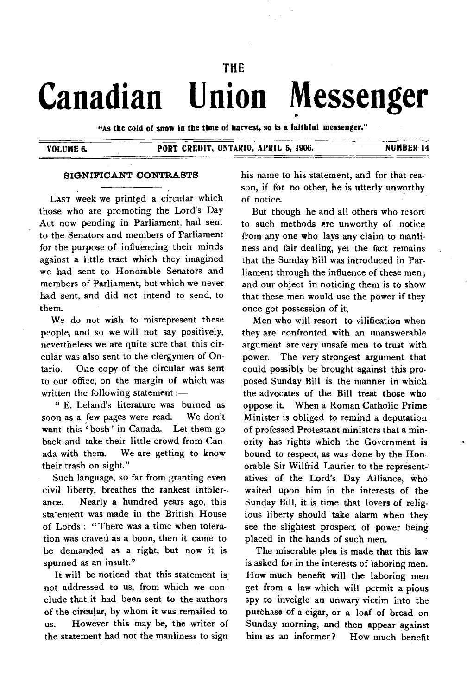# **THE Canadian Union Messenger**

**"As the cold of snow in the time of harvest, so is a faithful messenger."** 

#### **VOLUME 6. PORT CREDIT, ONTARIO, APRIL 5, 1906. NUMBER 14**

#### **SIGNIFICANT CONTRASTS**

LAST week we printed a circular which those who are promoting the Lord's Day Act now pending in Parliament, had sent to the Senators and members of Parliament for the purpose of influencing their minds against a little tract which they imagined we had sent to Honorable Senators and members of Parliament, but which we never had sent, and did not intend to send, to them.

We do not wish to misrepresent these people, and so we will not say positively, nevertheless we are quite sure that this circular was also sent to the clergymen of Ontario. One copy of the circular was sent to our office, on the margin of which was written the following statement :—

" E. Leland's literature was burned as soon as a few pages were read. We don't want this 'bosh' in Canada. Let them go back and take their little crowd from Canada with them. We are getting to know their trash on sight."

Such language, so far from granting even civil liberty, breathes the rankest intolerance. Nearly a hundred years ago, this sta'ement was made in the British House of Lords : "There was a time when toleration was craved as a boon, then it came to be demanded as a right, but now it is spurned as an insult."

It will be noticed that this statement is not addressed to us, from which we conclude that it had been sent to the authors of the circular, by whom it was remailed to us. However this may be, the writer of the statement had not the manliness to sign his name to his statement, and for that reason, if for no other, he is utterly unworthy of notice.

But though he and all others who resort to such methods are unworthy of notice from any one who lays any claim to manliness and fair dealing, yet the fact remains that the Sunday Bill was introduced in Parliament through the influence of these men; and our object in noticing them is to show that these men would use the power if they once got possession of it.

Men who will resort to vilification when they are confronted with an unanswerable argument are very unsafe men to trust with power. The very strongest argument that could possibly be brought against this proposed Sunday Bill is the manner in which the advocates of the Bill treat those who oppose it. When a Roman Catholic Prime Minister is obliged to remind a deputation of professed Protestant ministers that a minority has rights which the Government is bound to respect, as was done by the Hon-. orable Sir Wilfrid Laurier to the representatives of the Lord's Day Alliance, who waited upon him in the interests of the Sunday Bill, it is time that lovers of religious liberty should take alarm when they see the slightest prospect of power being placed in the hands of such men.

The miserable plea is made that this law is asked for in the interests of laboring men. How much benefit will the laboring men get from a law which will permit a pious spy to inveigle an unwary victim into the purchase of a cigar, or a loaf of bread on Sunday morning, and then appear against him as an informer? How much benefit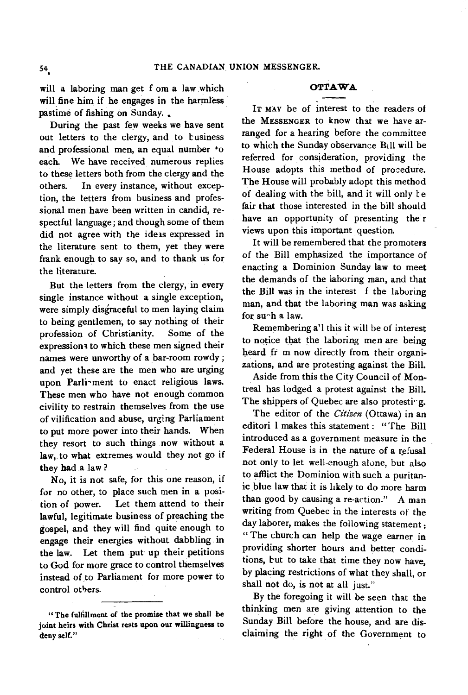will a laboring man get f om a law which will fine him if he engages in the harmless pastime of fishing on Sunday.

During the past few weeks we have sent out letters to the clergy, and to business and professional men, an equal number to each. We have received numerous replies to these letters both from the clergy and the others. In every instance, without exception, the letters from business and professional men have *been* written in candid, respectful language; and though some of them did not agree with the ideas expressed in the literature sent to them, yet they were frank enough to say so, and to thank us for the literature.

But the letters from the clergy, in every single instance without a single exception, were simply disgraceful to men laying claim to being gentlemen, to say nothing of their profession of Christianity. Some of the expressions to which these men signed their names were unworthy of a bar-room rowdy ; and yet these are the men who are urging upon Parli-ment to enact religious laws. These men who have not enough common civility to restrain themselves from the use of vilification and abuse, urging Parliament to put more power into their hands. When they resort to such things now without a law, to what extremes would they not go if they had a law?

No, it is not safe, for this one reason, if for no other, to place such men in a position of power. Let them attend to their lawful, legitimate business of preaching the gospel, and they will find quite enough to engage their energies without dabbling in the law. Let them put up their petitions to God for more grace to control themselves instead of to Parliament for more power to control others.

### **OTTAWA**

**IT MAY** be of interest to the readers of the **MESSENGER to** know that we have arranged for a hearing before the committee to which the Sunday observance Bill will be referred for consideration, providing the House adopts this method of procedure. The House will probably adopt this method of dealing with the bill, and it will only te fair that those interested in the bill should have an opportunity of presenting the r views upon this important question.

It will be remembered that the promoters of the Bill emphasized the importance of enacting a Dominion Sunday law to meet the demands of the laboring man, and that the Bill was in the interest f the laboring man, and that the laboring man was asking for su^h a law.

Remembering a'l this it will be of interest to notice that the laboring men are being heard fr m now directly from their organizations, and are protesting against the Bill.

Aside from this the City Council of Montreal has lodged a protest against the Bill. The shippers of Quebec are also protesting.

The editor of the *Citizen* (Ottawa) in an editori 1 makes this statement : "'The Bill introduced as a government measure in the Federal House is in the nature of a refusal not only to let well-enough alone, but also to afflict the Dominion with such a puritanic blue law that it is likely to do more harm than good by causing a re-action." A man writing from Quebec in the interests of the day laborer, makes the following statement: " The church can help the wage earner in providing shorter hours and better conditions, but to take that time they now have, by placing restrictions of what they shall, or shall not do, is not at all just."

By the foregoing it will be seen that the thinking men are giving attention to the Sunday Bill before the house, and are disclaiming the right of the Government to

<sup>&</sup>quot;The fulfillment of the promise that we shall be joint heirs with Christ rests upon our willingness to deny self."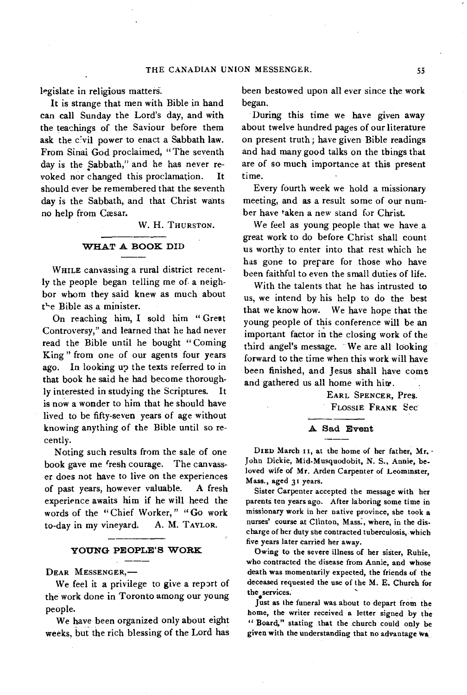legislate in religious matters.

It is strange that men with Bible in hand can call Sunday the Lord's day, and with the teachings of the Saviour before them ask the civil power to enact a Sabbath law. From Sinai God proclaimed, "The seventh day is the Sabbath," and he has never revoked nor changed this proclamation. It should ever be remembered that the seventh day is the Sabbath, and that Christ wants no help from Cæsar.

W. H. THURSTON.

#### **WHAT A BOOK DID**

WHILE canvassing a rural district recently the people began telling me of a neighbor whom they said knew as much about the Bible as a minister.

On reaching him, I sold him " Great Controversy," and learned that he had never read the Bible until he bought " Coming King " from one of our agents four years ago. In looking up the texts referred to in that book he said he had become thoroughly interested in studying the Scriptures. is now a wonder to him that he should have lived to be fifty-seven years of age without knowing anything of the Bible until so recently.

Noting such results from the sale of one book gave me fresh courage. The canvasser does not have to live on the experiences of past years, however valuable. A fresh experience awaits him if he will heed the words of the "Chief Worker," "Go work to-day in my vineyard. A. M. TAYLOR.

# **YOUNG PEOPLE'S WORK**

**DEAR** MESSENGER,—

We feel it a privilege to give a report of the work done in Toronto among our young people.

We have been organized only about eight weeks, but the rich blessing of the Lord has been bestowed upon all ever since the work began.

During this time we have given away about twelve hundred pages of our literature on present truth; have given Bible readings and had many good talks on the things that are of so much importance at this present time.

Every fourth week we hold a missionary meeting, and as a result some of our number have taken a new stand for Christ.

We feel as young people that we have a great work to do before Christ shall count us worthy to enter into that rest which he has gone to prepare for those who have been faithful to even the small duties of life.

With the talents that he has intrusted to us, we intend by his help to do the best that we know how. We have hope that the young people of this conference will be an important factor in the closing work of the third angel's message. We are all looking forward to the time when this work will have been finished, and Jesus shall have come and gathered us all home with him.

> EARL SPENCER, PreS. FLOSSIE FRANK Sec

### **A** Sad **Event**

**DIED** March 11, at the home of her father, Mr. - John Dickie, Mid-Musquodobit, N. S., Annie, beloved wife of Mr. Arden Carpenter of Leominster, Mass., aged 31 years.

Sister Carpenter accepted the message with her parents ten years ago. After laboring some time in missionary work in her native province, she took a nurses' course at Clinton, Mass:, where, in the discharge of her duty she contracted tuberculosis, which five years later carried her away.

Owing to the severe illness of her sister, Ruhie, who contracted the disease from Annie, and whose death was momentarily expected, the friends of the deceased requested the use of the M. E. Church for the services.

Just as the funeral was about to depart from the home, the writer received a letter signed by the " Board," stating that the .church could only be given with the understanding that no advantage Wa